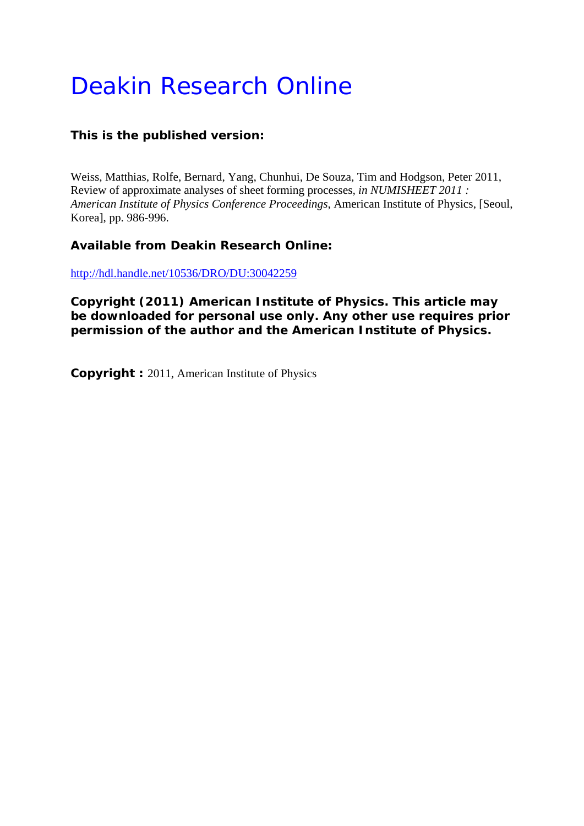# Deakin Research Online

# **This is the published version:**

Weiss, Matthias, Rolfe, Bernard, Yang, Chunhui, De Souza, Tim and Hodgson, Peter 2011, Review of approximate analyses of sheet forming processes*, in NUMISHEET 2011 : American Institute of Physics Conference Proceedings*, American Institute of Physics, [Seoul, Korea], pp. 986-996.

# **Available from Deakin Research Online:**

http://hdl.handle.net/10536/DRO/DU:30042259

**Copyright (2011) American Institute of Physics. This article may be downloaded for personal use only. Any other use requires prior permission of the author and the American Institute of Physics.** 

**Copyright :** 2011, American Institute of Physics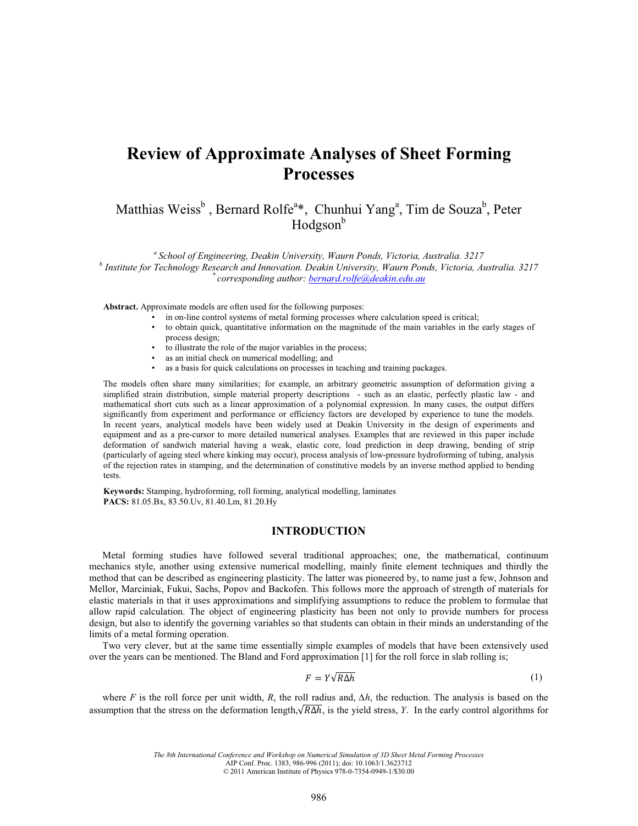# **Review of Approximate Analyses of Sheet Forming Processes**

# Matthias Weiss<sup>b</sup>, Bernard Rolfe<sup>a\*</sup>, Chunhui Yang<sup>a</sup>, Tim de Souza<sup>b</sup>, Peter  $H$ odgson $<sup>b</sup>$ </sup>

<sup>a</sup> School of Engineering, Deakin University, Waurn Ponds, Victoria, Australia. 3217<br>b Institute for Technology Research and Innovation. Deakin University, Waurn Ponds, Victoria, Australia. 3217<br>corresponding author: bern

**Abstract.** Approximate models are often used for the following purposes:

- in on-line control systems of metal forming processes where calculation speed is critical;
- to obtain quick, quantitative information on the magnitude of the main variables in the early stages of process design;
- to illustrate the role of the major variables in the process;
- as an initial check on numerical modelling; and
- as a basis for quick calculations on processes in teaching and training packages.

The models often share many similarities; for example, an arbitrary geometric assumption of deformation giving a simplified strain distribution, simple material property descriptions - such as an elastic, perfectly plastic law - and mathematical short cuts such as a linear approximation of a polynomial expression. In many cases, the output differs significantly from experiment and performance or efficiency factors are developed by experience to tune the models. In recent years, analytical models have been widely used at Deakin University in the design of experiments and equipment and as a pre-cursor to more detailed numerical analyses. Examples that are reviewed in this paper include deformation of sandwich material having a weak, elastic core, load prediction in deep drawing, bending of strip (particularly of ageing steel where kinking may occur), process analysis of low-pressure hydroforming of tubing, analysis of the rejection rates in stamping, and the determination of constitutive models by an inverse method applied to bending tests.

**Keywords:** Stamping, hydroforming, roll forming, analytical modelling, laminates **PACS:** 81.05.Bx, 83.50.Uv, 81.40.Lm, 81.20.Hy

#### **INTRODUCTION**

Metal forming studies have followed several traditional approaches; one, the mathematical, continuum mechanics style, another using extensive numerical modelling, mainly finite element techniques and thirdly the method that can be described as engineering plasticity. The latter was pioneered by, to name just a few, Johnson and Mellor, Marciniak, Fukui, Sachs, Popov and Backofen. This follows more the approach of strength of materials for elastic materials in that it uses approximations and simplifying assumptions to reduce the problem to formulae that allow rapid calculation. The object of engineering plasticity has been not only to provide numbers for process design, but also to identify the governing variables so that students can obtain in their minds an understanding of the limits of a metal forming operation.

Two very clever, but at the same time essentially simple examples of models that have been extensively used over the years can be mentioned. The Bland and Ford approximation [1] for the roll force in slab rolling is;

$$
F = Y\sqrt{R\Delta h} \tag{1}
$$

where  $F$  is the roll force per unit width,  $R$ , the roll radius and,  $\Delta h$ , the reduction. The analysis is based on the assumption that the stress on the deformation length,  $\sqrt{R\Delta h}$ , is the yield stress, *Y*. In the early control algorithms for

986

*The 8th International Conference and Workshop on Numerical Simulation of 3D Sheet Metal Forming Processes* AIP Conf. Proc. 1383, 986-996 (2011); doi: 10.1063/1.3623712 © 2011 American Institute of Physics 978-0-7354-0949-1/\$30.00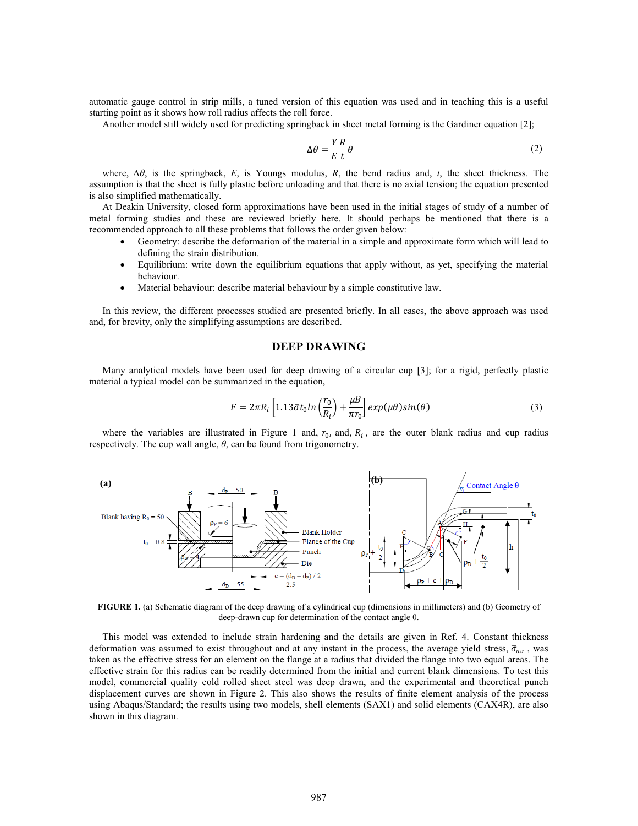automatic gauge control in strip mills, a tuned version of this equation was used and in teaching this is a useful starting point as it shows how roll radius affects the roll force.

Another model still widely used for predicting springback in sheet metal forming is the Gardiner equation [2];

$$
\Delta \theta = \frac{Y R}{E t} \theta \tag{2}
$$

where,  $\Delta\theta$ , is the springback, *E*, is Youngs modulus, *R*, the bend radius and, *t*, the sheet thickness. The assumption is that the sheet is fully plastic before unloading and that there is no axial tension; the equation presented is also simplified mathematically.

At Deakin University, closed form approximations have been used in the initial stages of study of a number of metal forming studies and these are reviewed briefly here. It should perhaps be mentioned that there is a recommended approach to all these problems that follows the order given below:

- - Geometry: describe the deformation of the material in a simple and approximate form which will lead to defining the strain distribution.
- - Equilibrium: write down the equilibrium equations that apply without, as yet, specifying the material behaviour.
- -Material behaviour: describe material behaviour by a simple constitutive law.

In this review, the different processes studied are presented briefly. In all cases, the above approach was used and, for brevity, only the simplifying assumptions are described.

#### **DEEP DRAWING**

Many analytical models have been used for deep drawing of a circular cup [3]; for a rigid, perfectly plastic material a typical model can be summarized in the equation,

$$
F = 2\pi R_i \left[ 1.13\bar{\sigma}t_0 \ln\left(\frac{r_0}{R_i}\right) + \frac{\mu}{\pi r_0} \right] \exp(\mu\theta)\sin(\theta) \tag{3}
$$

where the variables are illustrated in Figure 1 and,  $r_0$ , and,  $R_i$ , are the outer blank radius and cup radius respectively. The cup wall angle,  $\theta$ , can be found from trigonometry.



**FIGURE 1.** (a) Schematic diagram of the deep drawing of a cylindrical cup (dimensions in millimeters) and (b) Geometry of deep-drawn cup for determination of the contact angle  $\theta$ .

This model was extended to include strain hardening and the details are given in Ref. 4. Constant thickness deformation was assumed to exist throughout and at any instant in the process, the average yield stress,  $\bar{\sigma}_{av}$ , was taken as the effective stress for an element on the flange at a radius that divided the flange into two equal areas. The effective strain for this radius can be readily determined from the initial and current blank dimensions. To test this model, commercial quality cold rolled sheet steel was deep drawn, and the experimental and theoretical punch displacement curves are shown in Figure 2. This also shows the results of finite element analysis of the process using Abaqus/Standard; the results using two models, shell elements (SAX1) and solid elements (CAX4R), are also shown in this diagram.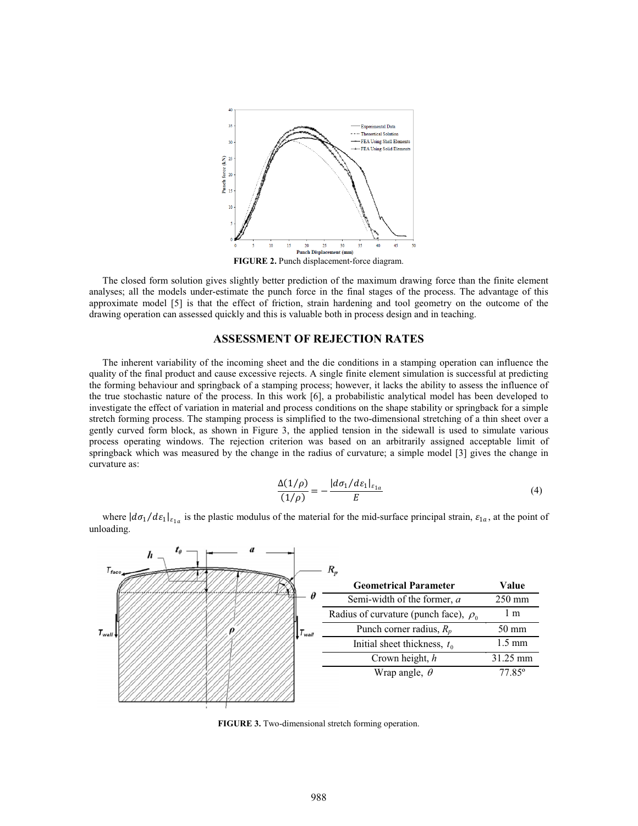

The closed form solution gives slightly better prediction of the maximum drawing force than the finite element analyses; all the models under-estimate the punch force in the final stages of the process. The advantage of this approximate model [5] is that the effect of friction, strain hardening and tool geometry on the outcome of the drawing operation can assessed quickly and this is valuable both in process design and in teaching.

#### **ASSESSMENT OF REJECTION RATES**

The inherent variability of the incoming sheet and the die conditions in a stamping operation can influence the quality of the final product and cause excessive rejects. A single finite element simulation is successful at predicting the forming behaviour and springback of a stamping process; however, it lacks the ability to assess the influence of the true stochastic nature of the process. In this work [6], a probabilistic analytical model has been developed to investigate the effect of variation in material and process conditions on the shape stability or springback for a simple stretch forming process. The stamping process is simplified to the two-dimensional stretching of a thin sheet over a gently curved form block, as shown in Figure 3, the applied tension in the sidewall is used to simulate various process operating windows. The rejection criterion was based on an arbitrarily assigned acceptable limit of springback which was measured by the change in the radius of curvature; a simple model [3] gives the change in curvature as:

$$
\frac{\Delta(1/\rho)}{(1/\rho)} = -\frac{|d\sigma_1/d\varepsilon_1|_{\varepsilon_{1a}}}{E} \tag{4}
$$

where  $\left| d\sigma_1/d\varepsilon_1 \right|_{\varepsilon_{1a}}$  is the plastic modulus of the material for the mid-surface principal strain,  $\varepsilon_{1a}$ , at the point of unloading.



**FIGURE 3.** Two-dimensional stretch forming operation.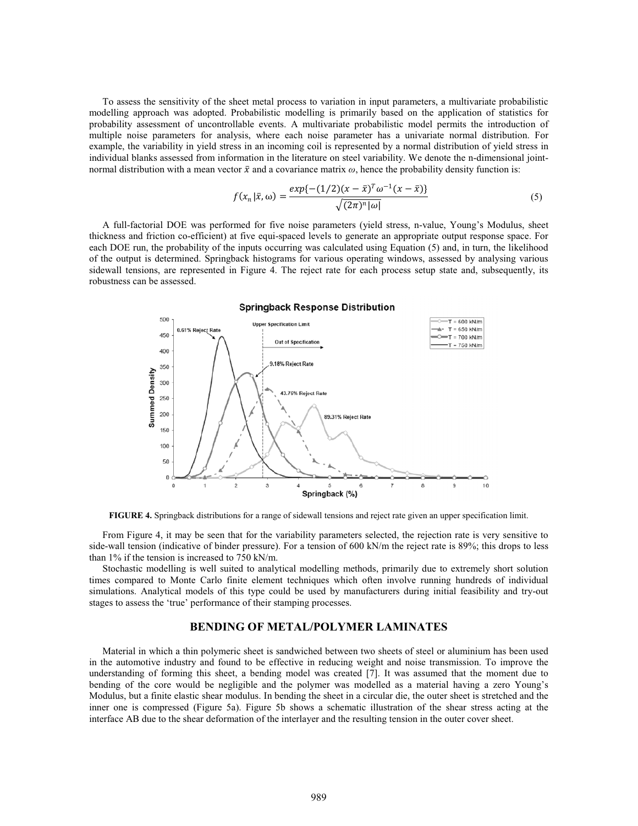To assess the sensitivity of the sheet metal process to variation in input parameters, a multivariate probabilistic modelling approach was adopted. Probabilistic modelling is primarily based on the application of statistics for probability assessment of uncontrollable events. A multivariate probabilistic model permits the introduction of multiple noise parameters for analysis, where each noise parameter has a univariate normal distribution. For example, the variability in yield stress in an incoming coil is represented by a normal distribution of yield stress in individual blanks assessed from information in the literature on steel variability. We denote the n-dimensional jointnormal distribution with a mean vector  $\bar{x}$  and a covariance matrix  $\omega$ , hence the probability density function is:

$$
f(x_n|\bar{x}, \omega) = \frac{\exp\{-(1/2)(x-\bar{x})^T\omega^{-1}(x-\bar{x})\}}{\sqrt{(2\pi)^n|\omega|}}
$$
(5)

A full-factorial DOE was performed for five noise parameters (yield stress, n-value, Young's Modulus, sheet thickness and friction co-efficient) at five equi-spaced levels to generate an appropriate output response space. For each DOE run, the probability of the inputs occurring was calculated using Equation (5) and, in turn, the likelihood of the output is determined. Springback histograms for various operating windows, assessed by analysing various sidewall tensions, are represented in Figure 4. The reject rate for each process setup state and, subsequently, its robustness can be assessed.



**FIGURE 4.** Springback distributions for a range of sidewall tensions and reject rate given an upper specification limit.

From Figure 4, it may be seen that for the variability parameters selected, the rejection rate is very sensitive to side-wall tension (indicative of binder pressure). For a tension of 600 kN/m the reject rate is 89%; this drops to less than 1% if the tension is increased to 750 kN/m.

Stochastic modelling is well suited to analytical modelling methods, primarily due to extremely short solution times compared to Monte Carlo finite element techniques which often involve running hundreds of individual simulations. Analytical models of this type could be used by manufacturers during initial feasibility and try-out stages to assess the 'true' performance of their stamping processes.

#### **BENDING OF METAL/POLYMER LAMINATES**

Material in which a thin polymeric sheet is sandwiched between two sheets of steel or aluminium has been used in the automotive industry and found to be effective in reducing weight and noise transmission. To improve the understanding of forming this sheet, a bending model was created [7]. It was assumed that the moment due to bending of the core would be negligible and the polymer was modelled as a material having a zero Young's Modulus, but a finite elastic shear modulus. In bending the sheet in a circular die, the outer sheet is stretched and the inner one is compressed (Figure 5a). Figure 5b shows a schematic illustration of the shear stress acting at the interface AB due to the shear deformation of the interlayer and the resulting tension in the outer cover sheet.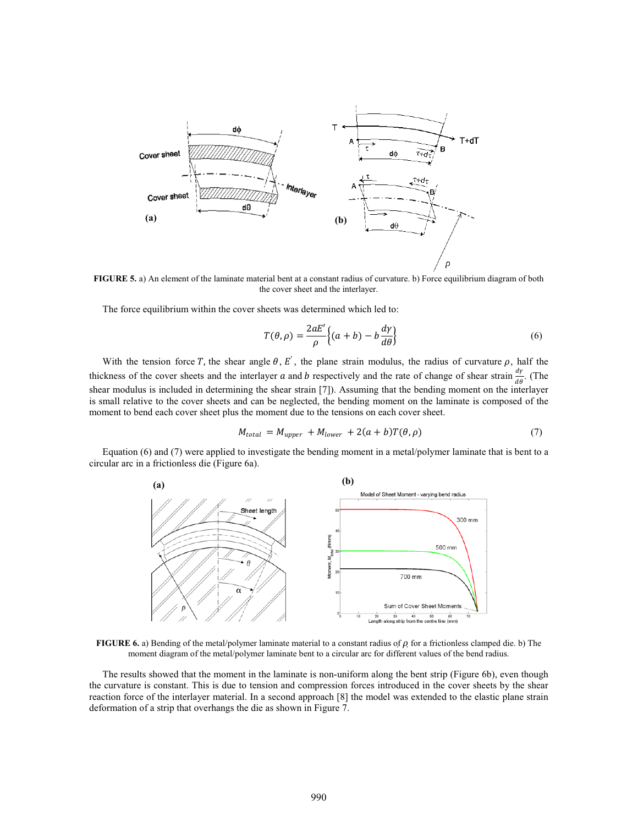

**FIGURE 5.** a) An element of the laminate material bent at a constant radius of curvature. b) Force equilibrium diagram of both the cover sheet and the interlayer.

The force equilibrium within the cover sheets was determined which led to:

$$
T(\theta, \rho) = \frac{2aE'}{\rho} \left\{ (a+b) - b \frac{d\gamma}{d\theta} \right\}
$$
 (6)

With the tension force T, the shear angle  $\theta$ , E', the plane strain modulus, the radius of curvature  $\rho$ , half the thickness of the cover sheets and the interlayer a and b respectively and the rate of change of shear strain  $\frac{dy}{d\theta}$ . (The shear modulus is included in determining the shear strain [7]). Assuming that the bending moment on the interlayer is small relative to the cover sheets and can be neglected, the bending moment on the laminate is composed of the moment to bend each cover sheet plus the moment due to the tensions on each cover sheet.

$$
M_{total} = M_{upper} + M_{lower} + 2(a+b)T(\theta, \rho)
$$
\n(7)

Equation (6) and (7) were applied to investigate the bending moment in a metal/polymer laminate that is bent to a circular arc in a frictionless die (Figure 6a).



**FIGURE 6.** a) Bending of the metal/polymer laminate material to a constant radius of  $\rho$  for a frictionless clamped die. b) The moment diagram of the metal/polymer laminate bent to a circular arc for different values of the bend radius.

The results showed that the moment in the laminate is non-uniform along the bent strip (Figure 6b), even though the curvature is constant. This is due to tension and compression forces introduced in the cover sheets by the shear reaction force of the interlayer material. In a second approach [8] the model was extended to the elastic plane strain deformation of a strip that overhangs the die as shown in Figure 7.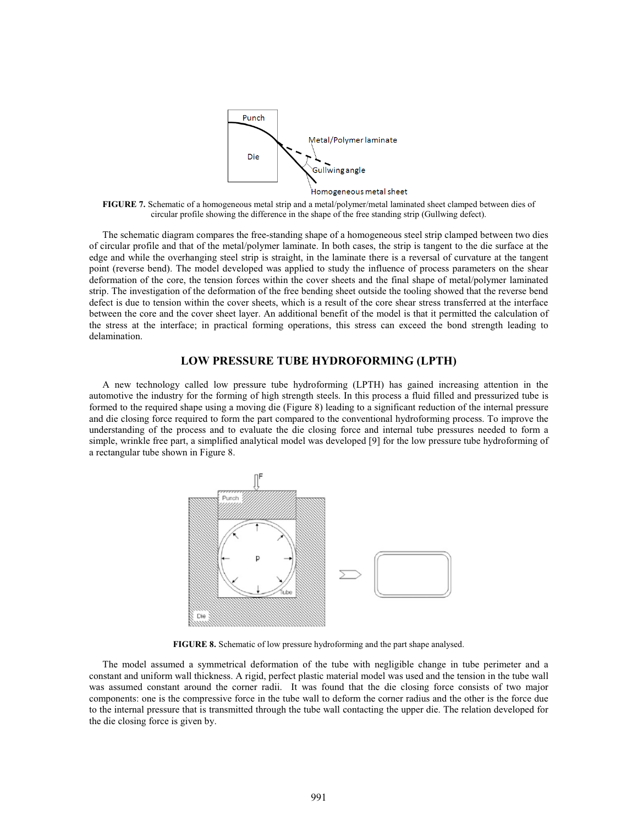

**FIGURE 7.** Schematic of a homogeneous metal strip and a metal/polymer/metal laminated sheet clamped between dies of circular profile showing the difference in the shape of the free standing strip (Gullwing defect).

The schematic diagram compares the free-standing shape of a homogeneous steel strip clamped between two dies of circular profile and that of the metal/polymer laminate. In both cases, the strip is tangent to the die surface at the edge and while the overhanging steel strip is straight, in the laminate there is a reversal of curvature at the tangent point (reverse bend). The model developed was applied to study the influence of process parameters on the shear deformation of the core, the tension forces within the cover sheets and the final shape of metal/polymer laminated strip. The investigation of the deformation of the free bending sheet outside the tooling showed that the reverse bend defect is due to tension within the cover sheets, which is a result of the core shear stress transferred at the interface between the core and the cover sheet layer. An additional benefit of the model is that it permitted the calculation of the stress at the interface; in practical forming operations, this stress can exceed the bond strength leading to delamination.

#### **LOW PRESSURE TUBE HYDROFORMING (LPTH)**

A new technology called low pressure tube hydroforming (LPTH) has gained increasing attention in the automotive the industry for the forming of high strength steels. In this process a fluid filled and pressurized tube is formed to the required shape using a moving die (Figure 8) leading to a significant reduction of the internal pressure and die closing force required to form the part compared to the conventional hydroforming process. To improve the understanding of the process and to evaluate the die closing force and internal tube pressures needed to form a simple, wrinkle free part, a simplified analytical model was developed [9] for the low pressure tube hydroforming of a rectangular tube shown in Figure 8.



**FIGURE 8.** Schematic of low pressure hydroforming and the part shape analysed.

The model assumed a symmetrical deformation of the tube with negligible change in tube perimeter and a constant and uniform wall thickness. A rigid, perfect plastic material model was used and the tension in the tube wall was assumed constant around the corner radii. It was found that the die closing force consists of two major components: one is the compressive force in the tube wall to deform the corner radius and the other is the force due to the internal pressure that is transmitted through the tube wall contacting the upper die. The relation developed for the die closing force is given by.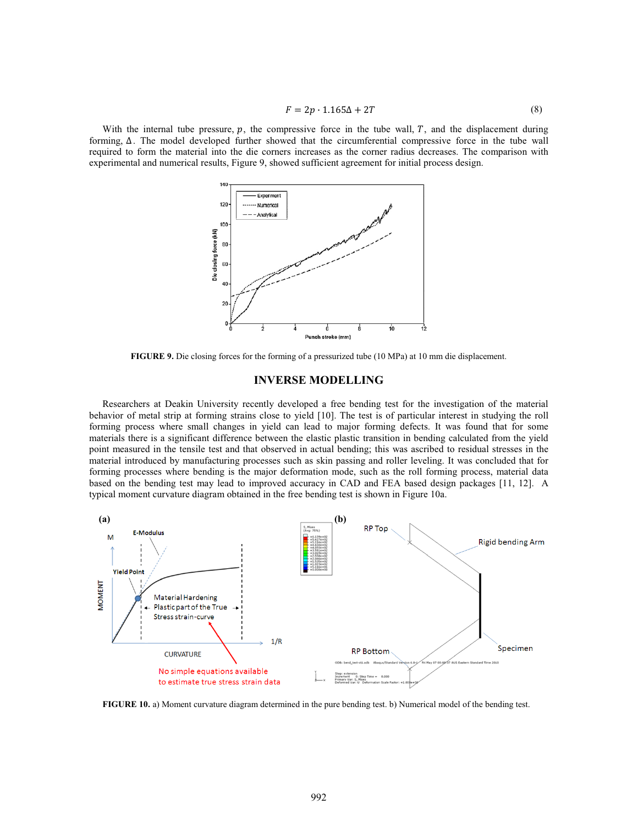$$
F = 2p \cdot 1.165\Delta + 2T \tag{8}
$$

With the internal tube pressure,  $p$ , the compressive force in the tube wall,  $T$ , and the displacement during forming,  $\Delta$ . The model developed further showed that the circumferential compressive force in the tube wall required to form the material into the die corners increases as the corner radius decreases. The comparison with experimental and numerical results, Figure 9, showed sufficient agreement for initial process design.



**FIGURE 9.** Die closing forces for the forming of a pressurized tube (10 MPa) at 10 mm die displacement.

#### **INVERSE MODELLING**

Researchers at Deakin University recently developed a free bending test for the investigation of the material behavior of metal strip at forming strains close to yield [10]. The test is of particular interest in studying the roll forming process where small changes in yield can lead to major forming defects. It was found that for some materials there is a significant difference between the elastic plastic transition in bending calculated from the yield point measured in the tensile test and that observed in actual bending; this was ascribed to residual stresses in the material introduced by manufacturing processes such as skin passing and roller leveling. It was concluded that for forming processes where bending is the major deformation mode, such as the roll forming process, material data based on the bending test may lead to improved accuracy in CAD and FEA based design packages [11, 12]. A typical moment curvature diagram obtained in the free bending test is shown in Figure 10a.



**FIGURE 10.** a) Moment curvature diagram determined in the pure bending test. b) Numerical model of the bending test.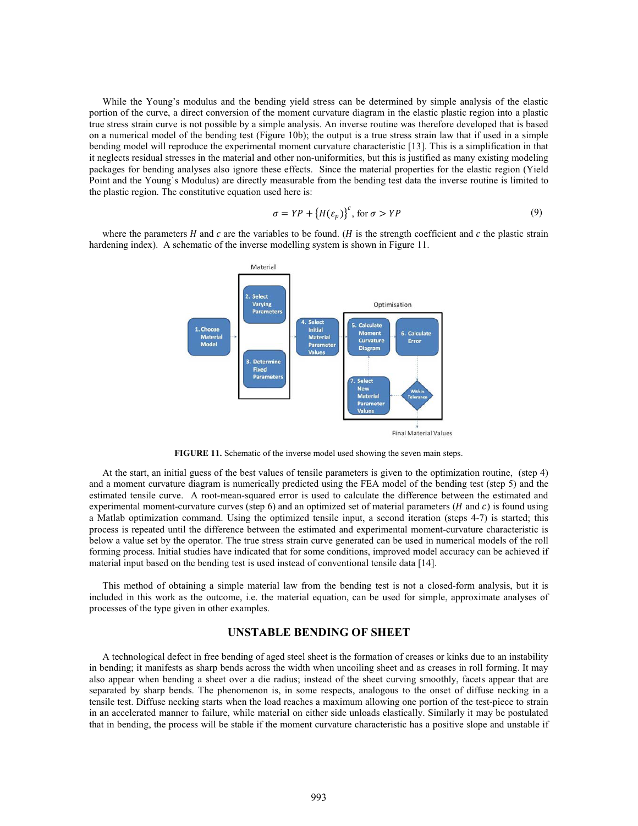While the Young's modulus and the bending yield stress can be determined by simple analysis of the elastic portion of the curve, a direct conversion of the moment curvature diagram in the elastic plastic region into a plastic true stress strain curve is not possible by a simple analysis. An inverse routine was therefore developed that is based on a numerical model of the bending test (Figure 10b); the output is a true stress strain law that if used in a simple bending model will reproduce the experimental moment curvature characteristic [13]. This is a simplification in that it neglects residual stresses in the material and other non-uniformities, but this is justified as many existing modeling packages for bending analyses also ignore these effects. Since the material properties for the elastic region (Yield Point and the Young`s Modulus) are directly measurable from the bending test data the inverse routine is limited to the plastic region. The constitutive equation used here is:

$$
\sigma = YP + \{H(\varepsilon_p)\}^c, \text{ for } \sigma > YP \tag{9}
$$

where the parameters H and c are the variables to be found. (H is the strength coefficient and c the plastic strain hardening index). A schematic of the inverse modelling system is shown in Figure 11.



**FIGURE 11.** Schematic of the inverse model used showing the seven main steps.

At the start, an initial guess of the best values of tensile parameters is given to the optimization routine, (step 4) and a moment curvature diagram is numerically predicted using the FEA model of the bending test (step 5) and the estimated tensile curve. A root-mean-squared error is used to calculate the difference between the estimated and experimental moment-curvature curves (step 6) and an optimized set of material parameters (H and c) is found using a Matlab optimization command. Using the optimized tensile input, a second iteration (steps 4-7) is started; this process is repeated until the difference between the estimated and experimental moment-curvature characteristic is below a value set by the operator. The true stress strain curve generated can be used in numerical models of the roll forming process. Initial studies have indicated that for some conditions, improved model accuracy can be achieved if material input based on the bending test is used instead of conventional tensile data [14].

This method of obtaining a simple material law from the bending test is not a closed-form analysis, but it is included in this work as the outcome, i.e. the material equation, can be used for simple, approximate analyses of processes of the type given in other examples.

#### **UNSTABLE BENDING OF SHEET**

A technological defect in free bending of aged steel sheet is the formation of creases or kinks due to an instability in bending; it manifests as sharp bends across the width when uncoiling sheet and as creases in roll forming. It may also appear when bending a sheet over a die radius; instead of the sheet curving smoothly, facets appear that are separated by sharp bends. The phenomenon is, in some respects, analogous to the onset of diffuse necking in a tensile test. Diffuse necking starts when the load reaches a maximum allowing one portion of the test-piece to strain in an accelerated manner to failure, while material on either side unloads elastically. Similarly it may be postulated that in bending, the process will be stable if the moment curvature characteristic has a positive slope and unstable if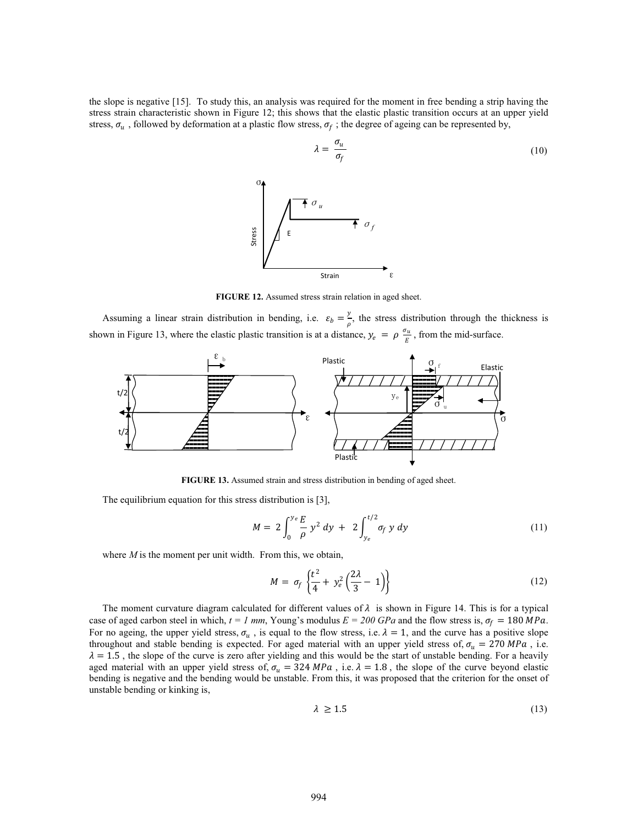the slope is negative [15]. To study this, an analysis was required for the moment in free bending a strip having the stress strain characteristic shown in Figure 12; this shows that the elastic plastic transition occurs at an upper yield stress,  $\sigma_u$ , followed by deformation at a plastic flow stress,  $\sigma_f$ ; the degree of ageing can be represented by,

$$
\lambda = \frac{\sigma_u}{\sigma_f}
$$
\n(10)\n\n
$$
\sum_{\substack{\beta_0 \\ \vdots \\ \beta_n \\ \text{Strain}}} \lambda = \frac{\sigma_u}{\sigma_f}
$$

**FIGURE 12.** Assumed stress strain relation in aged sheet.

Stress

Assuming a linear strain distribution in bending, i.e.  $\varepsilon_b = \frac{y}{a}$ , the stress distribution through the thickness is shown in Figure 13, where the elastic plastic transition is at a distance,  $y_e = \rho \frac{\sigma_u}{E}$ , from the mid-surface.



**FIGURE 13.** Assumed strain and stress distribution in bending of aged sheet.

The equilibrium equation for this stress distribution is [3],

$$
M = 2 \int_0^{y_e} \frac{E}{\rho} y^2 dy + 2 \int_{y_e}^{t/2} \sigma_f y dy
$$
 (11)

where *M* is the moment per unit width. From this, we obtain,

$$
M = \sigma_f \left\{ \frac{t^2}{4} + y_e^2 \left( \frac{2\lambda}{3} - 1 \right) \right\} \tag{12}
$$

The moment curvature diagram calculated for different values of  $\lambda$  is shown in Figure 14. This is for a typical case of aged carbon steel in which,  $t = 1$  mm, Young's modulus  $E = 200$  GPa and the flow stress is,  $\sigma_f = 180$  MPa. For no ageing, the upper yield stress,  $\sigma_u$ , is equal to the flow stress, i.e.  $\lambda = 1$ , and the curve has a positive slope throughout and stable bending is expected. For aged material with an upper yield stress of,  $\sigma_u = 270 MPa$ , i.e.  $\lambda = 1.5$ , the slope of the curve is zero after yielding and this would be the start of unstable bending. For a heavily aged material with an upper yield stress of,  $\sigma_u = 324 MPa$ , i.e.  $\lambda = 1.8$ , the slope of the curve beyond elastic bending is negative and the bending would be unstable. From this, it was proposed that the criterion for the onset of unstable bending or kinking is,

$$
\lambda \ge 1.5 \tag{13}
$$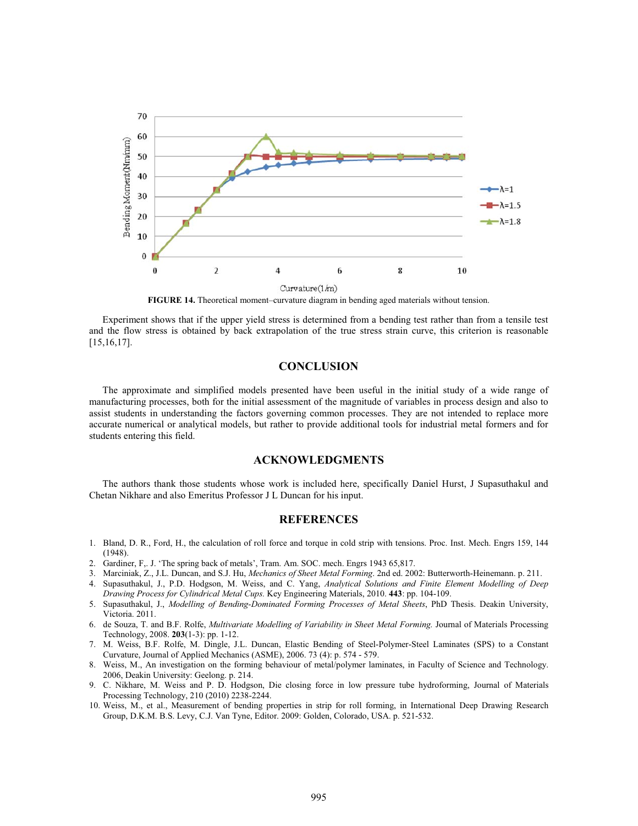

**FIGURE 14.** Theoretical moment–curvature diagram in bending aged materials without tension.

Experiment shows that if the upper yield stress is determined from a bending test rather than from a tensile test and the flow stress is obtained by back extrapolation of the true stress strain curve, this criterion is reasonable [15,16,17].

#### **CONCLUSION**

The approximate and simplified models presented have been useful in the initial study of a wide range of manufacturing processes, both for the initial assessment of the magnitude of variables in process design and also to assist students in understanding the factors governing common processes. They are not intended to replace more accurate numerical or analytical models, but rather to provide additional tools for industrial metal formers and for students entering this field.

#### **ACKNOWLEDGMENTS**

The authors thank those students whose work is included here, specifically Daniel Hurst, J Supasuthakul and Chetan Nikhare and also Emeritus Professor J L Duncan for his input.

#### **REFERENCES**

- 1. Bland, D. R., Ford, H., the calculation of roll force and torque in cold strip with tensions. Proc. Inst. Mech. Engrs 159, 144 (1948).
- 2. Gardiner, F,. J. 'The spring back of metals', Tram. Am. SOC. mech. Engrs 1943 65,817.
- 3. Marciniak, Z., J.L. Duncan, and S.J. Hu, *Mechanics of Sheet Metal Forming*. 2nd ed. 2002: Butterworth-Heinemann. p. 211.
- 4. Supasuthakul, J., P.D. Hodgson, M. Weiss, and C. Yang, *Analytical Solutions and Finite Element Modelling of Deep Drawing Process for Cylindrical Metal Cups.* Key Engineering Materials, 2010. **443**: pp. 104-109.
- 5. Supasuthakul, J., *Modelling of Bending-Dominated Forming Processes of Metal Sheets*, PhD Thesis. Deakin University, Victoria. 2011.
- 6. de Souza, T. and B.F. Rolfe, *Multivariate Modelling of Variability in Sheet Metal Forming.* Journal of Materials Processing Technology, 2008. **203**(1-3): pp. 1-12.
- 7. M. Weiss, B.F. Rolfe, M. Dingle, J.L. Duncan, Elastic Bending of Steel-Polymer-Steel Laminates (SPS) to a Constant Curvature, Journal of Applied Mechanics (ASME), 2006. 73 (4): p. 574 - 579.
- 8. Weiss, M., An investigation on the forming behaviour of metal/polymer laminates, in Faculty of Science and Technology. 2006, Deakin University: Geelong. p. 214.
- 9. C. Nikhare, M. Weiss and P. D. Hodgson, Die closing force in low pressure tube hydroforming, Journal of Materials Processing Technology, 210 (2010) 2238-2244.
- 10. Weiss, M., et al., Measurement of bending properties in strip for roll forming, in International Deep Drawing Research Group, D.K.M. B.S. Levy, C.J. Van Tyne, Editor. 2009: Golden, Colorado, USA. p. 521-532.